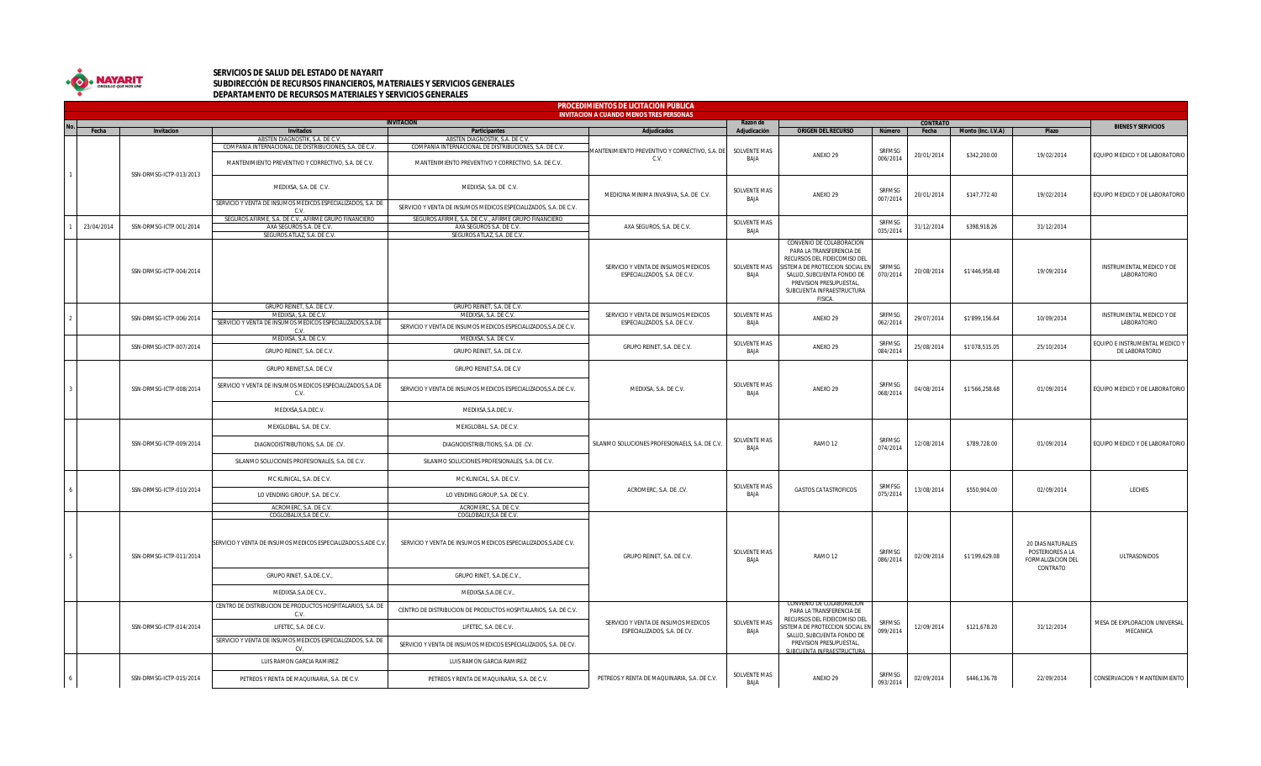

## **SERVICIOS DE SALUD DEL ESTADO DE NAYARIT SUBDIRECCIÓN DE RECURSOS FINANCIEROS, MATERIALES Y SERVICIOS GENERALES DEPARTAMENTO DE RECURSOS MATERIALES Y SERVICIOS GENERALES**

|  | <b>PROCEDIMIENTOS DE LICITACIÓN PÚBLICA</b>                         |                         |                                                                                                                  |                                                                                                                  |                                                                     |                                    |                                                                                                                                                                                                                         |                           |            |                    |                                                            |                                           |
|--|---------------------------------------------------------------------|-------------------------|------------------------------------------------------------------------------------------------------------------|------------------------------------------------------------------------------------------------------------------|---------------------------------------------------------------------|------------------------------------|-------------------------------------------------------------------------------------------------------------------------------------------------------------------------------------------------------------------------|---------------------------|------------|--------------------|------------------------------------------------------------|-------------------------------------------|
|  | <b>INVITACION A CUANDO MENOS TRES PERSONAS</b><br><b>INVITACION</b> |                         |                                                                                                                  |                                                                                                                  |                                                                     | <b>CONTRATO</b><br>Razon de        |                                                                                                                                                                                                                         |                           |            |                    |                                                            |                                           |
|  | Fecha                                                               | Invitacion              | <b>Invitados</b>                                                                                                 | Participantes                                                                                                    | Adjudicados                                                         | Adjudicación                       | <b>ORIGEN DEL RECURSO</b>                                                                                                                                                                                               | Número                    | Fecha      | Monto (Inc. I.V.A) | Plazo                                                      | <b>BIENES Y SERVICIOS</b>                 |
|  |                                                                     |                         | ABSTEN DIAGNOSTIK, S.A. DE C.V.<br>COMPAÑÍA INTERNACIONAL DE DISTRIBUCIONES, S.A. DE C.V.                        | ABSTEN DIAGNOSTIK, S.A. DE C.V.<br>COMPAÑÍA INTERNACIONAL DE DISTRIBUCIONES, S.A. DE C.V.                        | MANTENIMIENTO PREVENTIVO Y CORRECTIVO, S.A. DE<br>C.V.              | <b>SOLVENTE MAS</b><br><b>BAIA</b> | ANEXO 29                                                                                                                                                                                                                | SRFMSG<br>006/2014        | 20/01/2014 | \$342,200.00       | 19/02/2014                                                 | EQUIPO MEDICO Y DE LABORATORIO            |
|  |                                                                     | SSN-DRMSG-ICTP-013/2013 | MANTENIMIENTO PREVENTIVO Y CORRECTIVO, S.A. DE C.V.                                                              | MANTENIMIENTO PREVENTIVO Y CORRECTIVO, S.A. DE C.V.                                                              |                                                                     |                                    |                                                                                                                                                                                                                         |                           |            |                    |                                                            |                                           |
|  |                                                                     |                         | MEDIXSA, S.A. DE C.V.                                                                                            | MEDIXSA, S.A. DE C.V.                                                                                            | MEDICINA MINIMA INVASIVA, S.A. DE C.V.                              | SOLVENTE MAS<br>BAJA               | ANEXO 29                                                                                                                                                                                                                | SRFMSG<br>007/2014        | 20/01/2014 | \$147,772.40       | 19/02/2014                                                 | EQUIPO MEDICO Y DE LABORATORIO            |
|  |                                                                     |                         | SERVICIO Y VENTA DE INSUMOS MEDICOS ESPECIALIZADOS, S.A. DE<br>C.V                                               | SERVICIO Y VENTA DE INSUMOS MEDICOS ESPECIALIZADOS, S.A. DE C.V.                                                 |                                                                     |                                    |                                                                                                                                                                                                                         |                           |            |                    |                                                            |                                           |
|  | 23/04/2014                                                          | SSN-DRMSG-ICTP 001/2014 | SEGUROS AFIRME, S.A. DE C.V., AFIRME GRUPO FINANCIERO<br>AXA SEGUROS S.A. DE C.V.<br>SEGUROS ATLAZ, S.A. DE C.V. | SEGUROS AFIRME, S.A. DE C.V., AFIRME GRUPO FINANCIERO<br>AXA SEGUROS S.A. DE C.V.<br>SEGUROS ATLAZ, S.A. DE C.V. | AXA SEGUROS, S.A. DE C.V.                                           | SOLVENTE MAS<br>BAJA               |                                                                                                                                                                                                                         | SRFMSG<br>035/2014        | 31/12/2014 | \$398,918.26       | 31/12/2014                                                 |                                           |
|  |                                                                     | SSN-DRMSG-ICTP-004/2014 |                                                                                                                  |                                                                                                                  | SERVICIO Y VENTA DE INSUMOS MEDICOS<br>ESPECIALIZADOS, S.A. DE C.V. | SOLVENTE MAS<br>BAJA               | CONVENIO DE COLABORACION<br>PARA LA TRANSFERENCIA DE<br>RECURSOS DEL FIDEICOMISO DEL<br>SISTEMA DE PROTECCION SOCIAL EN<br>SALUD, SUBCUENTA FONDO DE<br>PREVISION PRESUPUESTAL,<br>SUBCUENTA INFRAESTRUCTURA<br>FISICA. | SRFMSG<br>070/2014        | 20/08/2014 | \$1'446,958.48     | 19/09/2014                                                 | INSTRUMENTAL MEDICO Y DE<br>LABORATORIO   |
|  |                                                                     |                         | GRUPO REINET, S.A. DE C.V.                                                                                       | GRUPO REINET, S.A. DE C.V.                                                                                       |                                                                     |                                    |                                                                                                                                                                                                                         |                           |            |                    |                                                            |                                           |
|  |                                                                     | SSN-DRMSG-ICTP-006/2014 | MEDIXSA, S.A. DE C.V.<br>SERVICIO Y VENTA DE INSUMOS MEDICOS ESPECIALIZADOS, S.A.DE<br>C.V.                      | MEDIXSA, S.A. DE C.V.<br>SERVICIO Y VENTA DE INSUMOS MEDICOS ESPECIALIZADOS, S.A.DE C.V.                         | SERVICIO Y VENTA DE INSUMOS MEDICOS<br>ESPECIALIZADOS, S.A. DE C.V. | <b>SOLVENTE MAS</b><br>BAJA        | ANEXO 29                                                                                                                                                                                                                | SRFMSG<br>062/2014        | 29/07/2014 | \$1'899,156.64     | 10/09/2014                                                 | INSTRUMENTAL MEDICO Y DE<br>LABORATORIO   |
|  |                                                                     |                         | MEDIXSA, S.A. DE C.V.                                                                                            | MEDIXSA, S.A. DE C.V.                                                                                            |                                                                     | SOLVENTE MAS                       |                                                                                                                                                                                                                         | SRFMSG                    |            |                    |                                                            | EQUIPO E INSTRUMENTAL MEDICO '            |
|  |                                                                     | SSN-DRMSG-ICTP-007/2014 | GRUPO REINET, S.A. DE C.V.                                                                                       | GRUPO REINET, S.A. DE C.V.                                                                                       | GRUPO REINET, S.A. DE C.V.                                          | BAIA                               | ANEXO 29                                                                                                                                                                                                                | 084/2014                  | 25/08/2014 | \$1'078,515.05     | 25/10/2014                                                 | DE LABORATORIO                            |
|  |                                                                     | SSN-DRMSG-ICTP-008/2014 | GRUPO REINET, S.A. DE C.V                                                                                        | GRUPO REINET, S.A. DE C.V                                                                                        | MEDIXSA, S.A. DE C.V.                                               | <b>SOLVENTE MAS</b><br>BAJA        | ANEXO 29                                                                                                                                                                                                                | SRFMSG<br>068/2014        | 04/08/2014 | \$1'566,258.68     | 01/09/2014                                                 | EQUIPO MEDICO Y DE LABORATORIO            |
|  |                                                                     |                         | SERVICIO Y VENTA DE INSUMOS MEDICOS ESPECIALIZADOS, S.A.DE<br>C.V.                                               | SERVICIO Y VENTA DE INSUMOS MEDICOS ESPECIALIZADOS, S.A.DE C.V.                                                  |                                                                     |                                    |                                                                                                                                                                                                                         |                           |            |                    |                                                            |                                           |
|  |                                                                     |                         | MEDIXSA, S.A.DEC.V.                                                                                              | MEDIXSA, S.A.DEC.V.                                                                                              |                                                                     |                                    |                                                                                                                                                                                                                         |                           |            |                    |                                                            |                                           |
|  |                                                                     |                         | MEXGLOBAL. S.A. DE C.V.                                                                                          | MEXGLOBAL. S.A. DE C.V.                                                                                          | SILANMO SOLUCIONES PROFESIONAELS, S.A. DE C.V.                      | <b>SOLVENTE MAS</b><br><b>BAIA</b> |                                                                                                                                                                                                                         | SRFMSG<br>074/2014        | 12/08/2014 |                    | 01/09/2014                                                 | EQUIPO MEDICO Y DE LABORATORIO            |
|  |                                                                     | SSN-DRMSG-ICTP-009/2014 | DIAGNODISTRIBUTIONS, S.A. DE .CV.                                                                                | DIAGNODISTRIBUTIONS, S.A. DE .CV.                                                                                |                                                                     |                                    | RAMO <sub>12</sub>                                                                                                                                                                                                      |                           |            | \$789,728.00       |                                                            |                                           |
|  |                                                                     |                         | SILANMO SOLUCIONES PROFESIONALES, S.A. DE C.V.                                                                   | SILANMO SOLUCIONES PROFESIONALES, S.A. DE C.V.                                                                   |                                                                     |                                    |                                                                                                                                                                                                                         |                           |            |                    |                                                            |                                           |
|  |                                                                     | SSN-DRMSG-ICTP-010/2014 | MC KLINICAL, S.A. DE C.V.<br>LO VENDING GROUP, S.A. DE C.V.                                                      | MC KLINICAL, S.A. DE C.V.<br>LO VENDING GROUP, S.A. DE C.V.                                                      | ACROMERC, S.A. DE .CV.                                              | <b>SOLVENTE MAS</b><br>BAJA        | <b>GASTOS CATASTROFICOS</b>                                                                                                                                                                                             | SRMFSG<br>075/2014        | 13/08/2014 | \$550,904.00       | 02/09/2014                                                 | LECHES                                    |
|  |                                                                     |                         | ACROMERC, S.A. DE C.V.                                                                                           | ACROMERC, S.A. DE C.V.                                                                                           |                                                                     |                                    |                                                                                                                                                                                                                         |                           |            |                    |                                                            |                                           |
|  |                                                                     | SSN-DRMSG-ICTP-011/2014 | COGLOBALIX.S.A DE C.V.                                                                                           | COGLOBALIX.S.A DE C.V.                                                                                           | GRUPO REINET, S.A. DE C.V.                                          | SOLVENTE MAS<br>BAJA               | RAMO <sub>12</sub>                                                                                                                                                                                                      |                           | 02/09/2014 | \$1'199,629.08     |                                                            | <b>ULTRASONIDOS</b>                       |
|  |                                                                     |                         | SERVICIO Y VENTA DE INSUMOS MEDICOS ESPECIALIZADOS, S.ADE C.V                                                    | SERVICIO Y VENTA DE INSUMOS MEDICOS ESPECIALIZADOS, S.ADE C.V.                                                   |                                                                     |                                    |                                                                                                                                                                                                                         | SRFMSG<br>086/2014        |            |                    | 20 DIAS NATURALES<br>POSTERIORES A LA<br>FORMALIZACION DEL |                                           |
|  |                                                                     |                         | GRUPO RINET, S.A.DE.C.V.,                                                                                        | GRUPO RINET, S.A.DE.C.V.,                                                                                        |                                                                     |                                    |                                                                                                                                                                                                                         |                           |            |                    | CONTRATO                                                   |                                           |
|  |                                                                     |                         | MEDIXSA, S.A.DE C.V.,                                                                                            | MEDIXSA, S.A.DE C.V.,                                                                                            |                                                                     |                                    |                                                                                                                                                                                                                         |                           |            |                    |                                                            |                                           |
|  |                                                                     | SSN-DRMSG-ICTP-014/2014 | CENTRO DE DISTRIBUCION DE PRODUCTOS HOSPITALARIOS, S.A. DE<br>C.V.                                               | CENTRO DE DISTRIBUCION DE PRODUCTOS HOSPITALARIOS, S.A. DE C.V.                                                  | SERVICIO Y VENTA DE INSUMOS MEDICOS<br>ESPECIALIZADOS, S.A. DE CV.  | SOLVENTE MAS<br>BAJA               | PARA LA TRANSFERENCIA DE<br>RECURSOS DEL FIDEICOMISO DEL<br>SISTEMA DE PROTECCION SOCIAL EN<br>SALUD, SUBCUENTA FONDO DE<br>PREVISION PRESUPUESTAL,<br>SLIBCLIENTA INFRAESTRUCTUR                                       | <b>SRFMSG</b><br>099/2014 | 12/09/2014 | \$121,678.20       | 31/12/2014                                                 | MESA DE EXPLORACION UNIVERSAL<br>MECANICA |
|  |                                                                     |                         | LIFETEC, S.A. DE C.V.                                                                                            | LIFETEC, S.A. DE C.V.                                                                                            |                                                                     |                                    |                                                                                                                                                                                                                         |                           |            |                    |                                                            |                                           |
|  |                                                                     |                         | SERVICIO Y VENTA DE INSUMOS MEDICOS ESPECIALIZADOS, S.A. DE<br>CV.                                               | SERVICIO Y VENTA DE INSUMOS MEDICOS ESPECIALIZADOS, S.A. DE CV.                                                  |                                                                     |                                    |                                                                                                                                                                                                                         |                           |            |                    |                                                            |                                           |
|  |                                                                     |                         | LUIS RAMON GARCIA RAMIREZ                                                                                        | LUIS RAMON GARCIA RAMIREZ                                                                                        |                                                                     |                                    |                                                                                                                                                                                                                         |                           |            |                    |                                                            |                                           |
|  |                                                                     | SSN-DRMSG-ICTP-015/2014 | PETREOS Y RENTA DE MAQUINARIA, S.A. DE C.V.                                                                      | PETREOS Y RENTA DE MAQUINARIA, S.A. DE C.V.                                                                      | PETREOS Y RENTA DE MAQUINARIA, S.A. DE C.V.                         | SOLVENTE MAS<br><b>BAIA</b>        | ANEXO 29                                                                                                                                                                                                                | SRFMSG<br>093/2014        | 02/09/2014 | \$446,136.78       | 22/09/2014                                                 | CONSERVACION Y MANTENIMIENTO              |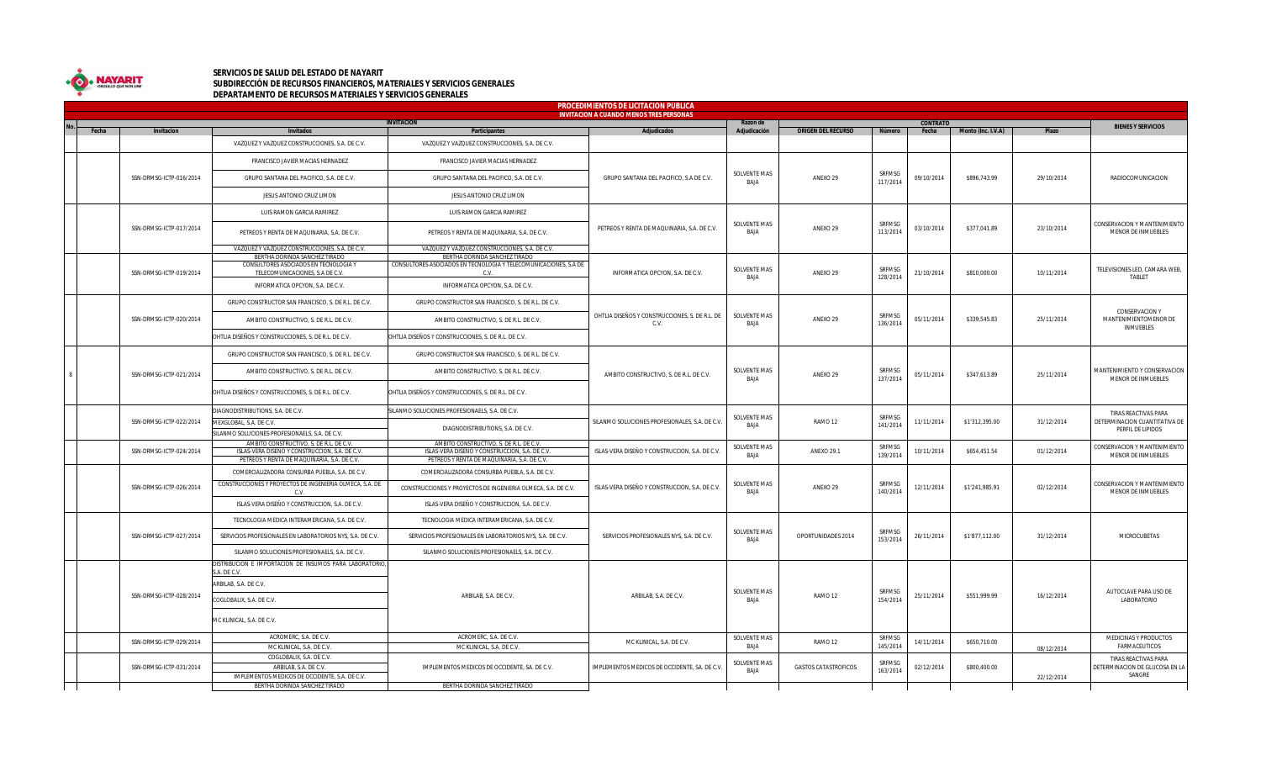

## **SERVICIOS DE SALUD DEL ESTADO DE NAYARIT SUBDIRECCIÓN DE RECURSOS FINANCIEROS, MATERIALES Y SERVICIOS GENERALES DEPARTAMENTO DE RECURSOS MATERIALES Y SERVICIOS GENERALES**

|  | <b>PROCEDIMIENTOS DE LICITACIÓN PÚBLICA</b> |                         |                                                                                                            |                                                                  |                                                        |                                    |                              |                    |                 |                    |                                          |                                                                            |
|--|---------------------------------------------|-------------------------|------------------------------------------------------------------------------------------------------------|------------------------------------------------------------------|--------------------------------------------------------|------------------------------------|------------------------------|--------------------|-----------------|--------------------|------------------------------------------|----------------------------------------------------------------------------|
|  |                                             |                         |                                                                                                            | <b>INVITACION</b>                                                | <b>INVITACION A CUANDO MENOS TRES PERSONAS</b>         | Razon de                           |                              |                    | <b>CONTRATO</b> |                    |                                          |                                                                            |
|  | Fecha                                       | Invitacion              | Invitados                                                                                                  | Participantes                                                    | Adjudicados                                            | Adjudicación                       | <b>ORIGEN DEL RECURSO</b>    | Número             | Fecha           | Monto (Inc. I.V.A) | Plazo                                    | <b>BIENES Y SERVICIOS</b>                                                  |
|  |                                             |                         | VAZQUEZ Y VAZQUEZ CONSTRUCCIONES, S.A. DE C.V.                                                             | VAZQUEZ Y VAZQUEZ CONSTRUCCIONES, S.A. DE C.V.                   |                                                        |                                    |                              |                    |                 |                    |                                          |                                                                            |
|  |                                             |                         | FRANCISCO JAVIER MACIAS HERNADEZ                                                                           | FRANCISCO JAVIER MACIAS HERNADEZ                                 | GRUPO SANTANA DEL PACIFICO, S.A DE C.V.                | SOLVENTE MAS<br>BAJA               | ANEXO 29                     | SRFMSG<br>117/2014 | 09/10/2014      |                    | 29/10/2014                               | RADIOCOMUNICACION                                                          |
|  |                                             | SSN-DRMSG-ICTP-016/2014 | GRUPO SANTANA DEL PACIFICO, S.A. DE C.V.                                                                   | GRUPO SANTANA DEL PACIFICO, S.A. DE C.V.                         |                                                        |                                    |                              |                    |                 | \$896,743.99       |                                          |                                                                            |
|  |                                             |                         | JESUS ANTONIO CRUZ LIMON                                                                                   | JESUS ANTONIO CRUZ LIMON                                         |                                                        |                                    |                              |                    |                 |                    |                                          |                                                                            |
|  |                                             |                         | LUIS RAMON GARCIA RAMIREZ                                                                                  | LUIS RAMON GARCIA RAMIREZ                                        | PETREOS Y RENTA DE MAQUINARIA, S.A. DE C.V.            | SOLVENTE MAS<br><b>BAIA</b>        | ANEXO 29                     | SRFMSG<br>113/2014 | 03/10/2014      | \$377,041.89       | 23/10/2014                               | CONSERVACION Y MANTENIMIENTO<br>MENOR DE INMUEBLES                         |
|  |                                             | SSN-DRMSG-ICTP-017/2014 | PETREOS Y RENTA DE MAQUINARIA, S.A. DE C.V.                                                                | PETREOS Y RENTA DE MAQUINARIA, S.A. DE C.V.                      |                                                        |                                    |                              |                    |                 |                    |                                          |                                                                            |
|  |                                             |                         | VAZQUEZ Y VAZQUEZ CONSTRUCCIONES, S.A. DE C.V.                                                             | VAZQUEZ Y VAZQUEZ CONSTRUCCIONES, S.A. DE C.V.                   |                                                        |                                    |                              |                    |                 |                    |                                          |                                                                            |
|  |                                             |                         | BERTHA DORINDA SANCHEZ TIRADO                                                                              | BERTHA DORINDA SANCHEZ TIRADO                                    |                                                        |                                    |                              |                    |                 |                    |                                          |                                                                            |
|  |                                             |                         | CONSULTORES ASOCIADOS EN TECNOLOGIA Y<br>TELECOMUNICACIONES, S.A DE C.V.                                   | CONSULTORES ASOCIADOS EN TECNOLOGIA Y TELECOMUNICACIONES, S.A DE | INFORMATICA OPCYON, S.A. DE C.V.                       | SOLVENTE MAS<br>BAJA               |                              | SRFMSG             |                 |                    |                                          | TELEVISIONES LED, CAMARA WEB,                                              |
|  |                                             | SSN-DRMSG-ICTP-019/2014 |                                                                                                            | C.V                                                              |                                                        |                                    | ANEXO 29                     | 128/2014           | 21/10/2014      | \$810,000.00       | 10/11/2014                               | TABLET                                                                     |
|  |                                             |                         | INFORMATICA OPCYON, S.A. DE C.V.                                                                           | INFORMATICA OPCYON, S.A. DE C.V.                                 |                                                        |                                    |                              |                    |                 |                    |                                          |                                                                            |
|  |                                             |                         | GRUPO CONSTRUCTOR SAN FRANCISCO, S. DE R.L. DE C.V.                                                        | GRUPO CONSTRUCTOR SAN FRANCISCO, S. DE R.L. DE C.V.              | OHTLIA DISEÑOS Y CONSTRUCCIONES, S. DE R.L. DE<br>C.V. | <b>SOLVENTE MAS</b><br><b>BAIA</b> | ANEXO 29                     | SRFMSG<br>136/2014 | 05/11/2014      | \$339,545.83       | 25/11/2014                               | CONSERVACION Y<br>MANTENIMIENTOMENOR DE<br><b>INMUEBLES</b>                |
|  |                                             | SSN-DRMSG-ICTP-020/2014 | AMBITO CONSTRUCTIVO, S. DE R.L. DE C.V.                                                                    | AMBITO CONSTRUCTIVO, S. DE R.L. DE C.V.                          |                                                        |                                    |                              |                    |                 |                    |                                          |                                                                            |
|  |                                             |                         | OHTLIA DISEÑOS Y CONSTRUCCIONES, S. DE R.L. DE C.V.                                                        | OHTLIA DISEÑOS Y CONSTRUCCIONES, S. DE R.L. DE C.V.              |                                                        |                                    |                              |                    |                 |                    |                                          |                                                                            |
|  |                                             |                         | GRUPO CONSTRUCTOR SAN FRANCISCO, S. DE R.L. DE C.V.                                                        | GRUPO CONSTRUCTOR SAN FRANCISCO, S. DE R.L. DE C.V.              | AMBITO CONSTRUCTIVO, S. DE R.L. DE C.V.                | SOLVENTE MAS<br>BAJA               | ANEXO 29                     | SRFMSG<br>137/2014 | 05/11/2014      | \$347,613.89       | 25/11/2014                               | MANTENIMIENTO Y CONSERVACION<br>MENOR DE INMUEBLES                         |
|  |                                             | SSN-DRMSG-ICTP-021/2014 | AMBITO CONSTRUCTIVO, S. DE R.L. DE C.V.                                                                    | AMBITO CONSTRUCTIVO, S. DE R.L. DE C.V.                          |                                                        |                                    |                              |                    |                 |                    |                                          |                                                                            |
|  |                                             |                         | OHTLIA DISEÑOS Y CONSTRUCCIONES, S. DE R.L. DE C.V.                                                        | OHTLIA DISEÑOS Y CONSTRUCCIONES, S. DE R.L. DE C.V.              |                                                        |                                    |                              |                    |                 |                    |                                          |                                                                            |
|  |                                             | SSN-DRMSG-ICTP-022/2014 | DIAGNODISTRIBUTIONS, S.A. DE C.V.                                                                          | SILANMO SOLUCIONES PROFESIONAELS, S.A. DE C.V.                   | SILANMO SOLUCIONES PROFESIONALES, S.A. DE C.V.         | SOLVENTE MAS<br>BAJA               | RAMO 12                      | SRFMSG<br>141/2014 | 11/11/2014      | \$1'312,395.00     | 31/12/2014                               | TIRAS REACTIVAS PARA<br>DETERMINACION CUANTITATIVA DE<br>PERFIL DE LIPIDOS |
|  |                                             |                         | MEXGLOBAL, S.A. DE C.V.                                                                                    | DIAGNODISTRIBUTIONS, S.A. DE C.V.                                |                                                        |                                    |                              |                    |                 |                    |                                          |                                                                            |
|  |                                             |                         | SILANMO SOLUCIONES PROFESIONAELS, S.A. DE C.V.                                                             |                                                                  |                                                        |                                    |                              |                    |                 |                    |                                          |                                                                            |
|  |                                             |                         | AMBITO CONSTRUCTIVO. S. DE R.L. DE C.V.                                                                    | AMBITO CONSTRUCTIVO. S. DE R.L. DE C.V.                          |                                                        | SOLVENTE MAS                       |                              | SRFMSG             |                 |                    |                                          | CONSERVACION Y MANTENIMIENTO                                               |
|  |                                             | SSN-DRMSG-ICTP-024/2014 | ISLAS-VERA DISEÑO Y CONSTRUCCION, S.A. DE C.V.                                                             | ISLAS-VERA DISEÑO Y CONSTRUCCION, S.A. DE C.V.                   | ISLAS-VERA DISEÑO Y CONSTRUCCION, S.A. DE C.V.         | BAJA                               | ANEXO 29.1                   | 139/2014           | 10/11/2014      | \$654,451.54       | 01/12/2014                               | MENOR DE INMUEBLES                                                         |
|  |                                             |                         | PETREOS Y RENTA DE MAQUINARIA, S.A. DE C.V.                                                                | PETREOS Y RENTA DE MAQUINARIA, S.A. DE C.V.                      |                                                        |                                    |                              |                    |                 |                    |                                          |                                                                            |
|  |                                             | SSN-DRMSG-ICTP-026/2014 | COMERCIALIZADORA CONSURBA PUEBLA, S.A. DE C.V.<br>CONSTRUCCIONES Y PROYECTOS DE INGENIERIA OLMECA, S.A. DE | COMERCIALIZADORA CONSURBA PUEBLA, S.A. DE C.V.                   | ISLAS-VERA DISEÑO Y CONSTRUCCION, S.A. DE C.V.         | SOLVENTE MAS<br><b>BAIA</b>        | ANEXO 29                     | SRFMSG<br>140/2014 | 12/11/2014      | \$1'241,985.91     | 02/12/2014                               | CONSERVACION Y MANTENIMIENTO<br>MENOR DE INMUEBLES                         |
|  |                                             |                         |                                                                                                            | CONSTRUCCIONES Y PROYECTOS DE INGENIERIA OLMECA, S.A. DE C.V.    |                                                        |                                    |                              |                    |                 |                    |                                          |                                                                            |
|  |                                             |                         | ISLAS-VERA DISEÑO Y CONSTRUCCION, S.A. DE C.V.                                                             | ISLAS-VERA DISEÑO Y CONSTRUCCION, S.A. DE C.V.                   |                                                        |                                    |                              |                    |                 |                    |                                          |                                                                            |
|  |                                             | SSN-DRMSG-ICTP-027/2014 | TECNOLOGIA MEDICA INTERAMERICANA, S.A. DE C.V.                                                             | TECNOLOGIA MEDICA INTERAMERICANA, S.A. DE C.V.                   | SERVICIOS PROFESIONALES NYS, S.A. DE C.V.              | SOLVENTE MAS<br>BAJA               | SRFMSG<br>OPORTUNIDADES 2014 |                    | 26/11/2014      | \$1'877,112.00     | 31/12/2014                               | MICROCUBETAS                                                               |
|  |                                             |                         | SERVICIOS PROFESIONALES EN LABORATORIOS NYS, S.A. DE C.V                                                   | SERVICIOS PROFESIONALES EN LABORATORIOS NYS, S.A. DE C.V.        |                                                        |                                    |                              | 153/2014           |                 |                    |                                          |                                                                            |
|  |                                             |                         | SILANMO SOLUCIONES PROFESIONAELS, S.A. DE C.V.                                                             | SILANMO SOLUCIONES PROFESIONAELS, S.A. DE C.V.                   |                                                        |                                    |                              |                    |                 |                    |                                          |                                                                            |
|  |                                             | SSN-DRMSG-ICTP-028/2014 | DISTRIBUCION E IMPORTACION DE INSUMOS PARA LABORATORIO<br>$A.$ DE $C.V.$                                   |                                                                  | ARBILAB, S.A. DE C,V.                                  |                                    | RAMO <sub>12</sub>           | SRFMSG<br>154/2014 | 25/11/2014      | \$551,999.99       |                                          |                                                                            |
|  |                                             |                         | ARBILAB, S.A. DE C.V.                                                                                      |                                                                  |                                                        | <b>SOLVENTE MAS</b><br>BAJA        |                              |                    |                 |                    |                                          | AUTOCLAVE PARA USO DE                                                      |
|  |                                             |                         | OGLOBALIX, S.A. DE C.V.                                                                                    | ARBILAB, S.A. DE C.V.                                            |                                                        |                                    |                              |                    |                 |                    | 16/12/2014                               | LABORATORIO                                                                |
|  |                                             |                         | MC KLINICAL, S.A. DE C.V.                                                                                  |                                                                  |                                                        |                                    |                              |                    |                 |                    |                                          |                                                                            |
|  |                                             |                         | ACROMERC, S.A. DE C.V.                                                                                     | ACROMERC, S.A. DE C.V.                                           | MC KLINICAL, S.A. DE C.V.                              | SOLVENTE MAS                       |                              | SRFMSG             |                 |                    |                                          | MEDICINAS Y PRODUCTOS                                                      |
|  |                                             | SSN-DRMSG-ICTP-029/2014 | MC KLINICAL, S.A. DE C.V.                                                                                  | MC KLINICAL, S.A. DE C.V.                                        |                                                        | <b>BAIA</b>                        | RAMO <sub>12</sub>           | 145/2014           | 14/11/2014      | \$650,710.00       | 08/12/2014                               | <b>FARMACEUTICOS</b>                                                       |
|  |                                             |                         | COGLOBALIX, S.A. DE C.V.                                                                                   |                                                                  |                                                        | SOLVENTE MAS                       |                              | SRFMSG             |                 |                    |                                          | TIRAS REACTIVAS PARA                                                       |
|  | SSN-DRMSG-ICTP-031/2014                     | ARBILAB, S.A. DE C.V.   | IMPLEMENTOS MEDICOS DE OCCIDENTE, SA. DE C.V.                                                              | IMPLEMENTOS MEDICOS DE OCCIDENTE, SA. DE C.V.                    | BAJA                                                   | <b>GASTOS CATASTROFICOS</b>        | 163/2014                     | 02/12/2014         | \$800,400.00    |                    | DETERMINACION DE GLUCOSA EN LA<br>SANGRE |                                                                            |
|  |                                             |                         | IMPLEMENTOS MEDICOS DE OCCIDENTE, S.A. DE C.V.                                                             |                                                                  |                                                        |                                    |                              |                    |                 |                    | 22/12/2014                               |                                                                            |
|  |                                             |                         | BERTHA DORINDA SANCHEZ TIRADO                                                                              | BERTHA DORINDA SANCHEZ TIRADO                                    |                                                        |                                    |                              |                    |                 |                    |                                          |                                                                            |